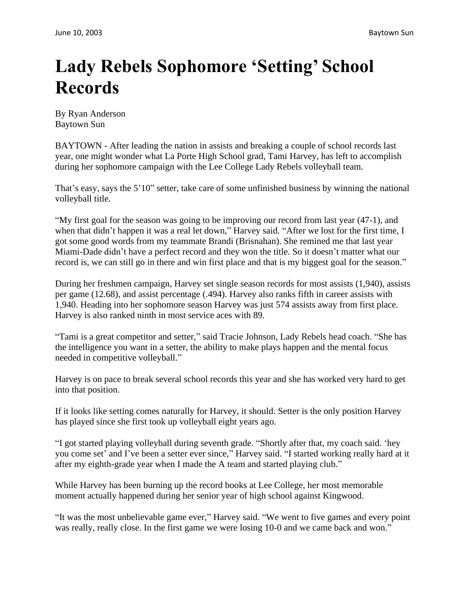## **Lady Rebels Sophomore 'Setting' School Records**

By Ryan Anderson Baytown Sun

BAYTOWN - After leading the nation in assists and breaking a couple of school records last year, one might wonder what La Porte High School grad, Tami Harvey, has left to accomplish during her sophomore campaign with the Lee College Lady Rebels volleyball team.

That's easy, says the 5'10" setter, take care of some unfinished business by winning the national volleyball title.

"My first goal for the season was going to be improving our record from last year (47-1), and when that didn't happen it was a real let down," Harvey said. "After we lost for the first time, I got some good words from my teammate Brandi (Brisnahan). She remined me that last year Miami-Dade didn't have a perfect record and they won the title. So it doesn't matter what our record is, we can still go in there and win first place and that is my biggest goal for the season."

During her freshmen campaign, Harvey set single season records for most assists (1,940), assists per game (12.68), and assist percentage (.494). Harvey also ranks fifth in career assists with 1,940. Heading into her sophomore season Harvey was just 574 assists away from first place. Harvey is also ranked ninth in most service aces with 89.

"Tami is a great competitor and setter," said Tracie Johnson, Lady Rebels head coach. "She has the intelligence you want in a setter, the ability to make plays happen and the mental focus needed in competitive volleyball."

Harvey is on pace to break several school records this year and she has worked very hard to get into that position.

If it looks like setting comes naturally for Harvey, it should. Setter is the only position Harvey has played since she first took up volleyball eight years ago.

"I got started playing volleyball during seventh grade. "Shortly after that, my coach said. 'hey you come set' and I've been a setter ever since," Harvey said. "I started working really hard at it after my eighth-grade year when I made the A team and started playing club."

While Harvey has been burning up the record books at Lee College, her most memorable moment actually happened during her senior year of high school against Kingwood.

"It was the most unbelievable game ever," Harvey said. "We went to five games and every point was really, really close. In the first game we were losing 10-0 and we came back and won."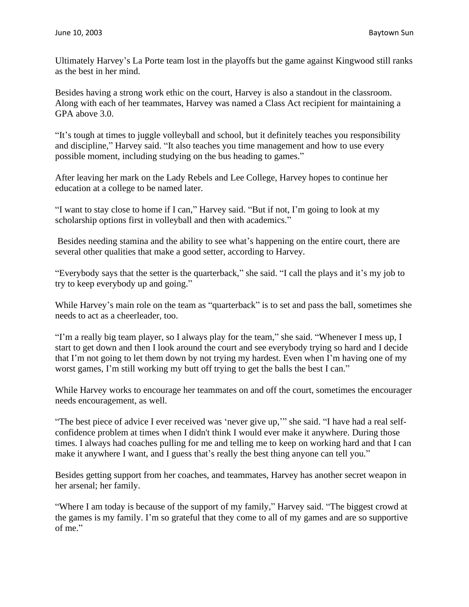Ultimately Harvey's La Porte team lost in the playoffs but the game against Kingwood still ranks as the best in her mind.

Besides having a strong work ethic on the court, Harvey is also a standout in the classroom. Along with each of her teammates, Harvey was named a Class Act recipient for maintaining a GPA above 3.0.

"It's tough at times to juggle volleyball and school, but it definitely teaches you responsibility and discipline," Harvey said. "It also teaches you time management and how to use every possible moment, including studying on the bus heading to games."

After leaving her mark on the Lady Rebels and Lee College, Harvey hopes to continue her education at a college to be named later.

"I want to stay close to home if I can," Harvey said. "But if not, I'm going to look at my scholarship options first in volleyball and then with academics."

Besides needing stamina and the ability to see what's happening on the entire court, there are several other qualities that make a good setter, according to Harvey.

"Everybody says that the setter is the quarterback," she said. "I call the plays and it's my job to try to keep everybody up and going."

While Harvey's main role on the team as "quarterback" is to set and pass the ball, sometimes she needs to act as a cheerleader, too.

"I'm a really big team player, so I always play for the team," she said. "Whenever I mess up, I start to get down and then I look around the court and see everybody trying so hard and I decide that I'm not going to let them down by not trying my hardest. Even when I'm having one of my worst games, I'm still working my butt off trying to get the balls the best I can."

While Harvey works to encourage her teammates on and off the court, sometimes the encourager needs encouragement, as well.

"The best piece of advice I ever received was 'never give up,'" she said. "I have had a real selfconfidence problem at times when I didn't think I would ever make it anywhere. During those times. I always had coaches pulling for me and telling me to keep on working hard and that I can make it anywhere I want, and I guess that's really the best thing anyone can tell you."

Besides getting support from her coaches, and teammates, Harvey has another secret weapon in her arsenal; her family.

"Where I am today is because of the support of my family," Harvey said. "The biggest crowd at the games is my family. I'm so grateful that they come to all of my games and are so supportive of me."